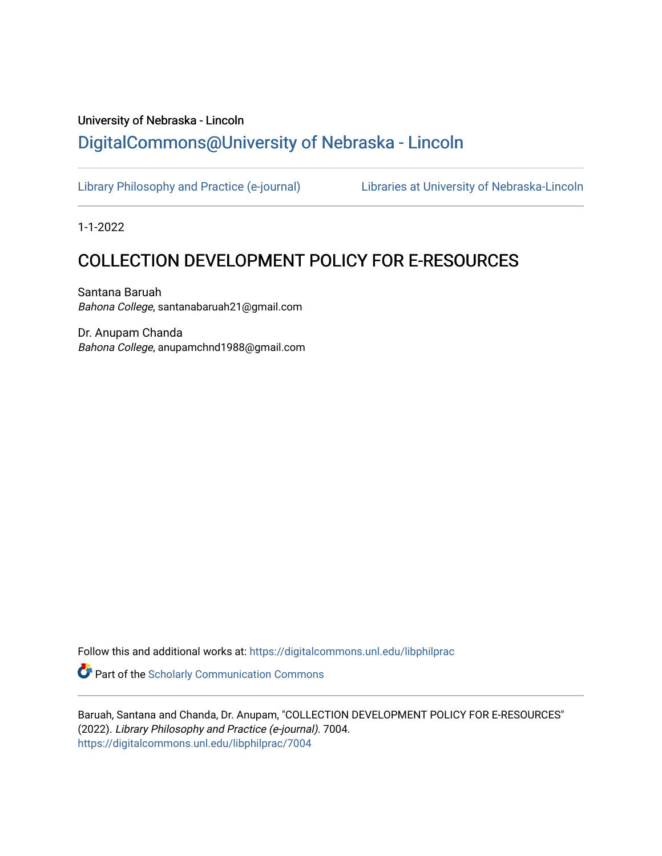# University of Nebraska - Lincoln [DigitalCommons@University of Nebraska - Lincoln](https://digitalcommons.unl.edu/)

[Library Philosophy and Practice \(e-journal\)](https://digitalcommons.unl.edu/libphilprac) [Libraries at University of Nebraska-Lincoln](https://digitalcommons.unl.edu/libraries) 

1-1-2022

# COLLECTION DEVELOPMENT POLICY FOR E-RESOURCES

Santana Baruah Bahona College, santanabaruah21@gmail.com

Dr. Anupam Chanda Bahona College, anupamchnd1988@gmail.com

Follow this and additional works at: [https://digitalcommons.unl.edu/libphilprac](https://digitalcommons.unl.edu/libphilprac?utm_source=digitalcommons.unl.edu%2Flibphilprac%2F7004&utm_medium=PDF&utm_campaign=PDFCoverPages) 

**Part of the Scholarly Communication Commons** 

Baruah, Santana and Chanda, Dr. Anupam, "COLLECTION DEVELOPMENT POLICY FOR E-RESOURCES" (2022). Library Philosophy and Practice (e-journal). 7004. [https://digitalcommons.unl.edu/libphilprac/7004](https://digitalcommons.unl.edu/libphilprac/7004?utm_source=digitalcommons.unl.edu%2Flibphilprac%2F7004&utm_medium=PDF&utm_campaign=PDFCoverPages)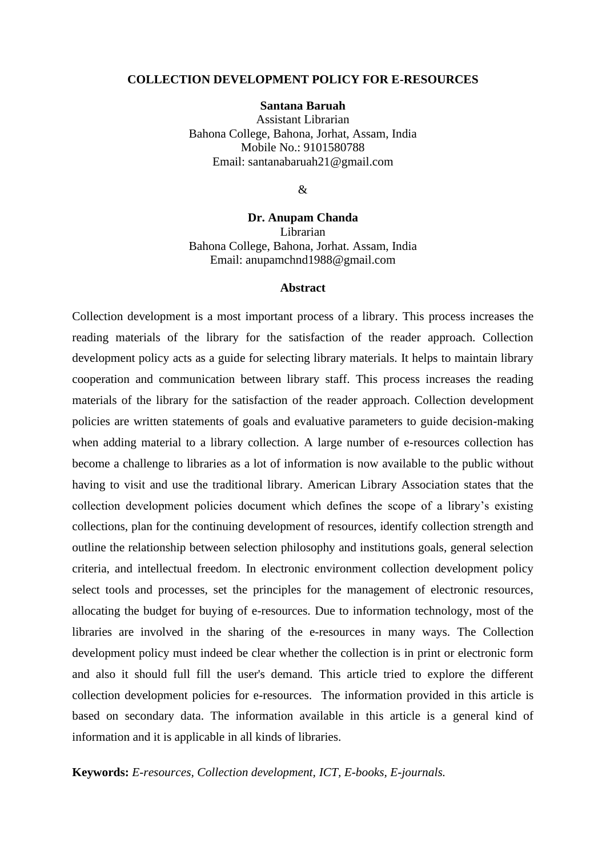#### **COLLECTION DEVELOPMENT POLICY FOR E-RESOURCES**

#### **Santana Baruah**

Assistant Librarian Bahona College, Bahona, Jorhat, Assam, India Mobile No.: 9101580788 Email: santanabaruah21@gmail.com

 $\mathcal{R}$ 

# **Dr. Anupam Chanda**

Librarian Bahona College, Bahona, Jorhat. Assam, India Email: anupamchnd1988@gmail.com

#### **Abstract**

Collection development is a most important process of a library. This process increases the reading materials of the library for the satisfaction of the reader approach. Collection development policy acts as a guide for selecting library materials. It helps to maintain library cooperation and communication between library staff. This process increases the reading materials of the library for the satisfaction of the reader approach. Collection development policies are written statements of goals and evaluative parameters to guide decision-making when adding material to a library collection. A large number of e-resources collection has become a challenge to libraries as a lot of information is now available to the public without having to visit and use the traditional library. American Library Association states that the collection development policies document which defines the scope of a library's existing collections, plan for the continuing development of resources, identify collection strength and outline the relationship between selection philosophy and institutions goals, general selection criteria, and intellectual freedom. In electronic environment collection development policy select tools and processes, set the principles for the management of electronic resources, allocating the budget for buying of e-resources. Due to information technology, most of the libraries are involved in the sharing of the e-resources in many ways. The Collection development policy must indeed be clear whether the collection is in print or electronic form and also it should full fill the user's demand. This article tried to explore the different collection development policies for e-resources. The information provided in this article is based on secondary data. The information available in this article is a general kind of information and it is applicable in all kinds of libraries.

**Keywords:** *E-resources, Collection development, ICT, E-books, E-journals.*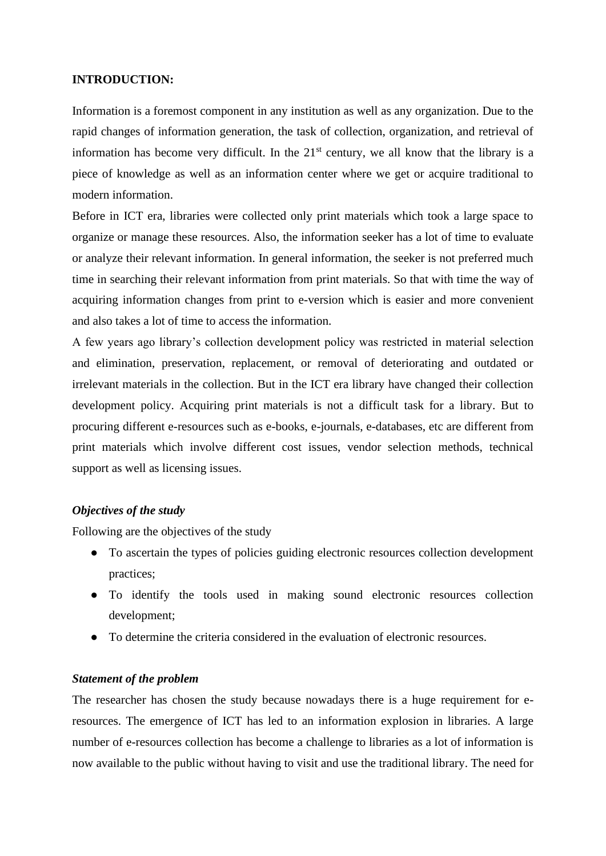## **INTRODUCTION:**

Information is a foremost component in any institution as well as any organization. Due to the rapid changes of information generation, the task of collection, organization, and retrieval of information has become very difficult. In the  $21<sup>st</sup>$  century, we all know that the library is a piece of knowledge as well as an information center where we get or acquire traditional to modern information.

Before in ICT era, libraries were collected only print materials which took a large space to organize or manage these resources. Also, the information seeker has a lot of time to evaluate or analyze their relevant information. In general information, the seeker is not preferred much time in searching their relevant information from print materials. So that with time the way of acquiring information changes from print to e-version which is easier and more convenient and also takes a lot of time to access the information.

A few years ago library's collection development policy was restricted in material selection and elimination, preservation, replacement, or removal of deteriorating and outdated or irrelevant materials in the collection. But in the ICT era library have changed their collection development policy. Acquiring print materials is not a difficult task for a library. But to procuring different e-resources such as e-books, e-journals, e-databases, etc are different from print materials which involve different cost issues, vendor selection methods, technical support as well as licensing issues.

## *Objectives of the study*

Following are the objectives of the study

- To ascertain the types of policies guiding electronic resources collection development practices;
- To identify the tools used in making sound electronic resources collection development;
- To determine the criteria considered in the evaluation of electronic resources.

#### *Statement of the problem*

The researcher has chosen the study because nowadays there is a huge requirement for eresources. The emergence of ICT has led to an information explosion in libraries. A large number of e-resources collection has become a challenge to libraries as a lot of information is now available to the public without having to visit and use the traditional library. The need for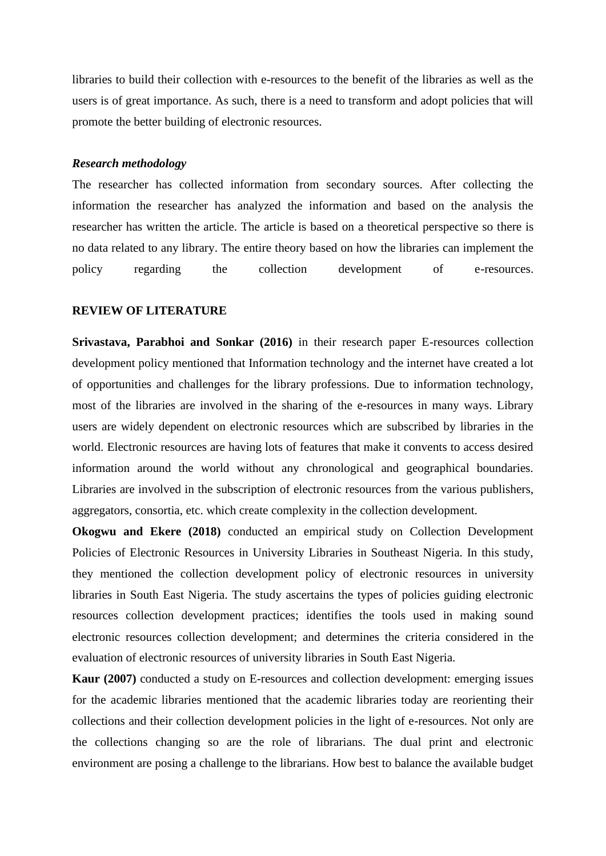libraries to build their collection with e-resources to the benefit of the libraries as well as the users is of great importance. As such, there is a need to transform and adopt policies that will promote the better building of electronic resources.

#### *Research methodology*

The researcher has collected information from secondary sources. After collecting the information the researcher has analyzed the information and based on the analysis the researcher has written the article. The article is based on a theoretical perspective so there is no data related to any library. The entire theory based on how the libraries can implement the policy regarding the collection development of e-resources.

#### **REVIEW OF LITERATURE**

**Srivastava, Parabhoi and Sonkar (2016)** in their research paper E-resources collection development policy mentioned that Information technology and the internet have created a lot of opportunities and challenges for the library professions. Due to information technology, most of the libraries are involved in the sharing of the e-resources in many ways. Library users are widely dependent on electronic resources which are subscribed by libraries in the world. Electronic resources are having lots of features that make it convents to access desired information around the world without any chronological and geographical boundaries. Libraries are involved in the subscription of electronic resources from the various publishers, aggregators, consortia, etc. which create complexity in the collection development.

**Okogwu and Ekere (2018)** conducted an empirical study on Collection Development Policies of Electronic Resources in University Libraries in Southeast Nigeria. In this study, they mentioned the collection development policy of electronic resources in university libraries in South East Nigeria. The study ascertains the types of policies guiding electronic resources collection development practices; identifies the tools used in making sound electronic resources collection development; and determines the criteria considered in the evaluation of electronic resources of university libraries in South East Nigeria.

**Kaur (2007)** conducted a study on E-resources and collection development: emerging issues for the academic libraries mentioned that the academic libraries today are reorienting their collections and their collection development policies in the light of e-resources. Not only are the collections changing so are the role of librarians. The dual print and electronic environment are posing a challenge to the librarians. How best to balance the available budget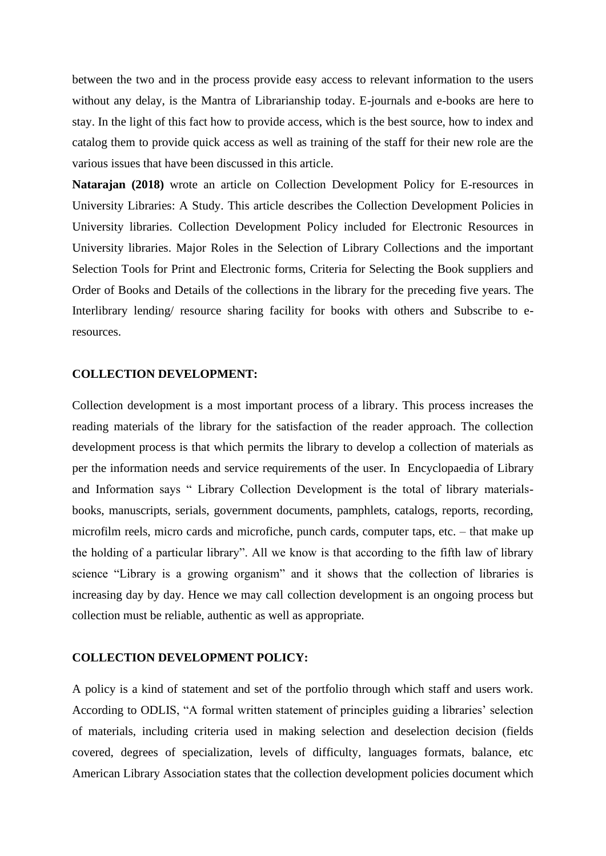between the two and in the process provide easy access to relevant information to the users without any delay, is the Mantra of Librarianship today. E-journals and e-books are here to stay. In the light of this fact how to provide access, which is the best source, how to index and catalog them to provide quick access as well as training of the staff for their new role are the various issues that have been discussed in this article.

**Natarajan (2018)** wrote an article on Collection Development Policy for E-resources in University Libraries: A Study. This article describes the Collection Development Policies in University libraries. Collection Development Policy included for Electronic Resources in University libraries. Major Roles in the Selection of Library Collections and the important Selection Tools for Print and Electronic forms, Criteria for Selecting the Book suppliers and Order of Books and Details of the collections in the library for the preceding five years. The Interlibrary lending/ resource sharing facility for books with others and Subscribe to eresources.

#### **COLLECTION DEVELOPMENT:**

Collection development is a most important process of a library. This process increases the reading materials of the library for the satisfaction of the reader approach. The collection development process is that which permits the library to develop a collection of materials as per the information needs and service requirements of the user. In Encyclopaedia of Library and Information says " Library Collection Development is the total of library materialsbooks, manuscripts, serials, government documents, pamphlets, catalogs, reports, recording, microfilm reels, micro cards and microfiche, punch cards, computer taps, etc. – that make up the holding of a particular library". All we know is that according to the fifth law of library science "Library is a growing organism" and it shows that the collection of libraries is increasing day by day. Hence we may call collection development is an ongoing process but collection must be reliable, authentic as well as appropriate.

#### **COLLECTION DEVELOPMENT POLICY:**

A policy is a kind of statement and set of the portfolio through which staff and users work. According to ODLIS, "A formal written statement of principles guiding a libraries' selection of materials, including criteria used in making selection and deselection decision (fields covered, degrees of specialization, levels of difficulty, languages formats, balance, etc American Library Association states that the collection development policies document which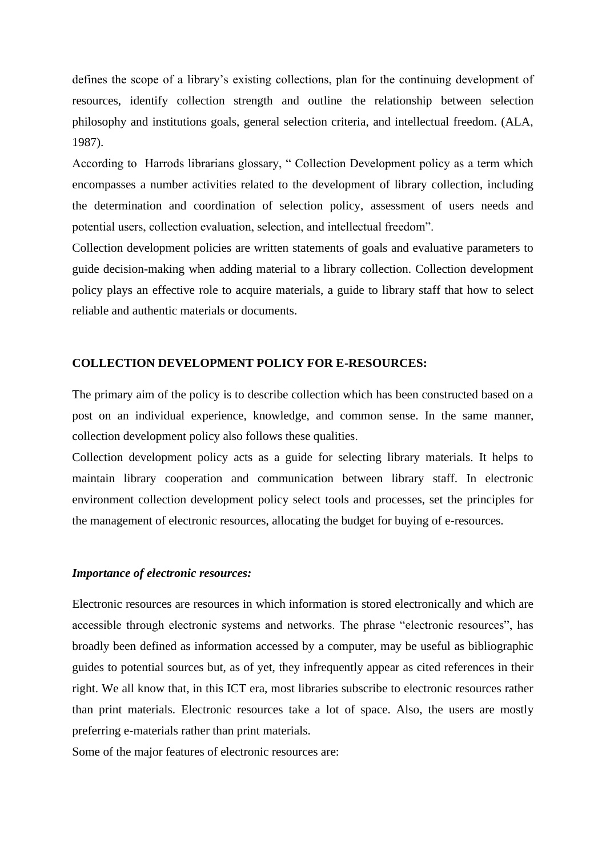defines the scope of a library's existing collections, plan for the continuing development of resources, identify collection strength and outline the relationship between selection philosophy and institutions goals, general selection criteria, and intellectual freedom. (ALA, 1987).

According to Harrods librarians glossary, " Collection Development policy as a term which encompasses a number activities related to the development of library collection, including the determination and coordination of selection policy, assessment of users needs and potential users, collection evaluation, selection, and intellectual freedom".

Collection development policies are written statements of goals and evaluative parameters to guide decision-making when adding material to a library collection. Collection development policy plays an effective role to acquire materials, a guide to library staff that how to select reliable and authentic materials or documents.

## **COLLECTION DEVELOPMENT POLICY FOR E-RESOURCES:**

The primary aim of the policy is to describe collection which has been constructed based on a post on an individual experience, knowledge, and common sense. In the same manner, collection development policy also follows these qualities.

Collection development policy acts as a guide for selecting library materials. It helps to maintain library cooperation and communication between library staff. In electronic environment collection development policy select tools and processes, set the principles for the management of electronic resources, allocating the budget for buying of e-resources.

#### *Importance of electronic resources:*

Electronic resources are resources in which information is stored electronically and which are accessible through electronic systems and networks. The phrase "electronic resources", has broadly been defined as information accessed by a computer, may be useful as bibliographic guides to potential sources but, as of yet, they infrequently appear as cited references in their right. We all know that, in this ICT era, most libraries subscribe to electronic resources rather than print materials. Electronic resources take a lot of space. Also, the users are mostly preferring e-materials rather than print materials.

Some of the major features of electronic resources are: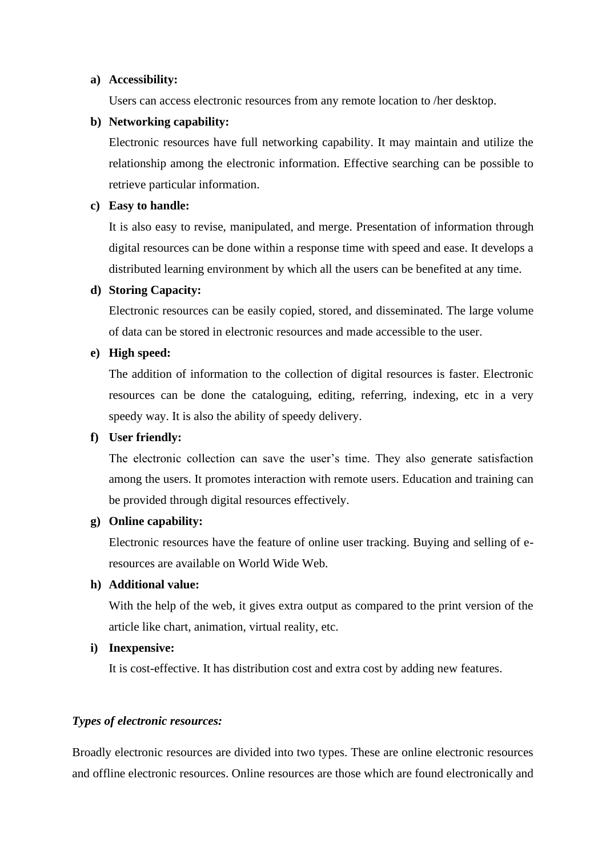#### **a) Accessibility:**

Users can access electronic resources from any remote location to /her desktop.

## **b) Networking capability:**

Electronic resources have full networking capability. It may maintain and utilize the relationship among the electronic information. Effective searching can be possible to retrieve particular information.

## **c) Easy to handle:**

It is also easy to revise, manipulated, and merge. Presentation of information through digital resources can be done within a response time with speed and ease. It develops a distributed learning environment by which all the users can be benefited at any time.

# **d) Storing Capacity:**

Electronic resources can be easily copied, stored, and disseminated. The large volume of data can be stored in electronic resources and made accessible to the user.

# **e) High speed:**

The addition of information to the collection of digital resources is faster. Electronic resources can be done the cataloguing, editing, referring, indexing, etc in a very speedy way. It is also the ability of speedy delivery.

## **f) User friendly:**

The electronic collection can save the user's time. They also generate satisfaction among the users. It promotes interaction with remote users. Education and training can be provided through digital resources effectively.

## **g) Online capability:**

Electronic resources have the feature of online user tracking. Buying and selling of eresources are available on World Wide Web.

## **h) Additional value:**

With the help of the web, it gives extra output as compared to the print version of the article like chart, animation, virtual reality, etc.

## **i) Inexpensive:**

It is cost-effective. It has distribution cost and extra cost by adding new features.

## *Types of electronic resources:*

Broadly electronic resources are divided into two types. These are online electronic resources and offline electronic resources. Online resources are those which are found electronically and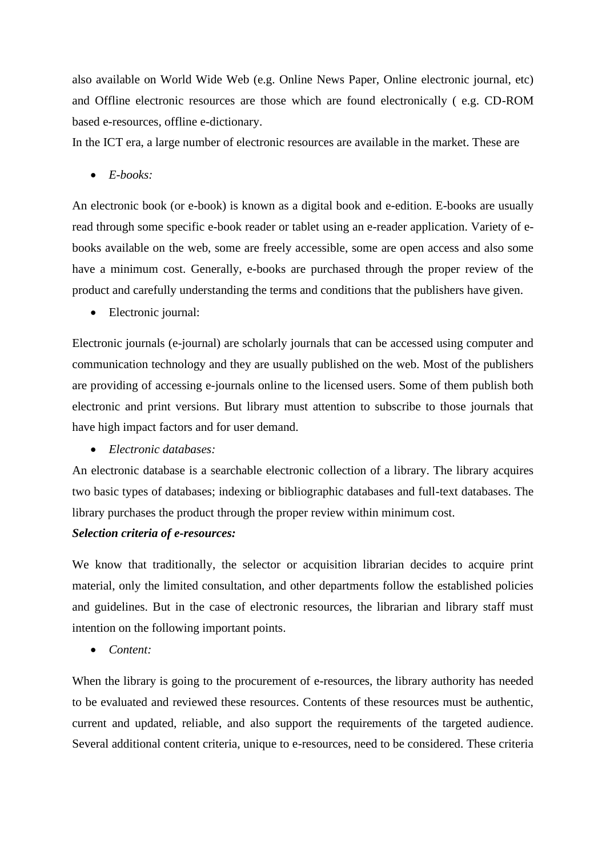also available on World Wide Web (e.g. Online News Paper, Online electronic journal, etc) and Offline electronic resources are those which are found electronically ( e.g. CD-ROM based e-resources, offline e-dictionary.

In the ICT era, a large number of electronic resources are available in the market. These are

• *E-books:*

An electronic book (or e-book) is known as a digital book and e-edition. E-books are usually read through some specific e-book reader or tablet using an e-reader application. Variety of ebooks available on the web, some are freely accessible, some are open access and also some have a minimum cost. Generally, e-books are purchased through the proper review of the product and carefully understanding the terms and conditions that the publishers have given.

• Electronic journal:

Electronic journals (e-journal) are scholarly journals that can be accessed using computer and communication technology and they are usually published on the web. Most of the publishers are providing of accessing e-journals online to the licensed users. Some of them publish both electronic and print versions. But library must attention to subscribe to those journals that have high impact factors and for user demand.

• *Electronic databases:*

An electronic database is a searchable electronic collection of a library. The library acquires two basic types of databases; indexing or bibliographic databases and full-text databases. The library purchases the product through the proper review within minimum cost.

## *Selection criteria of e-resources:*

We know that traditionally, the selector or acquisition librarian decides to acquire print material, only the limited consultation, and other departments follow the established policies and guidelines. But in the case of electronic resources, the librarian and library staff must intention on the following important points.

• *Content:* 

When the library is going to the procurement of e-resources, the library authority has needed to be evaluated and reviewed these resources. Contents of these resources must be authentic, current and updated, reliable, and also support the requirements of the targeted audience. Several additional content criteria, unique to e-resources, need to be considered. These criteria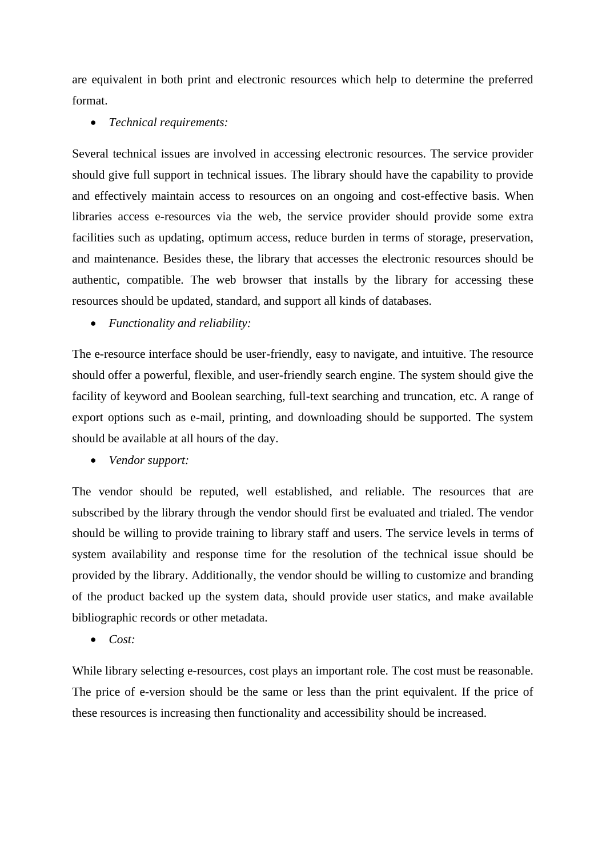are equivalent in both print and electronic resources which help to determine the preferred format.

• *Technical requirements:*

Several technical issues are involved in accessing electronic resources. The service provider should give full support in technical issues. The library should have the capability to provide and effectively maintain access to resources on an ongoing and cost-effective basis. When libraries access e-resources via the web, the service provider should provide some extra facilities such as updating, optimum access, reduce burden in terms of storage, preservation, and maintenance. Besides these, the library that accesses the electronic resources should be authentic, compatible. The web browser that installs by the library for accessing these resources should be updated, standard, and support all kinds of databases.

• *Functionality and reliability:*

The e-resource interface should be user-friendly, easy to navigate, and intuitive. The resource should offer a powerful, flexible, and user-friendly search engine. The system should give the facility of keyword and Boolean searching, full-text searching and truncation, etc. A range of export options such as e-mail, printing, and downloading should be supported. The system should be available at all hours of the day.

• *Vendor support:*

The vendor should be reputed, well established, and reliable. The resources that are subscribed by the library through the vendor should first be evaluated and trialed. The vendor should be willing to provide training to library staff and users. The service levels in terms of system availability and response time for the resolution of the technical issue should be provided by the library. Additionally, the vendor should be willing to customize and branding of the product backed up the system data, should provide user statics, and make available bibliographic records or other metadata.

• *Cost:*

While library selecting e-resources, cost plays an important role. The cost must be reasonable. The price of e-version should be the same or less than the print equivalent. If the price of these resources is increasing then functionality and accessibility should be increased.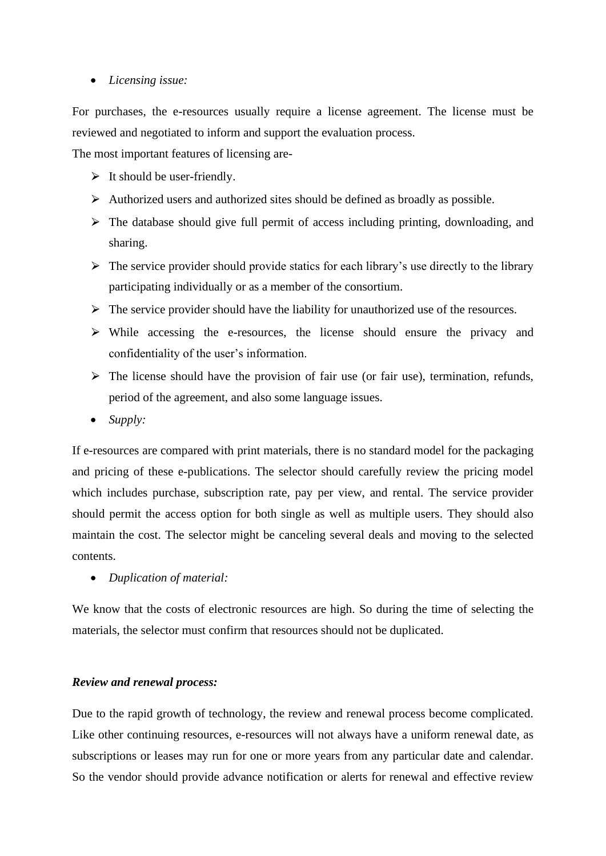# • *Licensing issue:*

For purchases, the e-resources usually require a license agreement. The license must be reviewed and negotiated to inform and support the evaluation process.

The most important features of licensing are-

- $\triangleright$  It should be user-friendly.
- $\triangleright$  Authorized users and authorized sites should be defined as broadly as possible.
- $\triangleright$  The database should give full permit of access including printing, downloading, and sharing.
- $\triangleright$  The service provider should provide statics for each library's use directly to the library participating individually or as a member of the consortium.
- $\triangleright$  The service provider should have the liability for unauthorized use of the resources.
- $\triangleright$  While accessing the e-resources, the license should ensure the privacy and confidentiality of the user's information.
- $\triangleright$  The license should have the provision of fair use (or fair use), termination, refunds, period of the agreement, and also some language issues.
- *Supply:*

If e-resources are compared with print materials, there is no standard model for the packaging and pricing of these e-publications. The selector should carefully review the pricing model which includes purchase, subscription rate, pay per view, and rental. The service provider should permit the access option for both single as well as multiple users. They should also maintain the cost. The selector might be canceling several deals and moving to the selected contents.

• *Duplication of material:*

We know that the costs of electronic resources are high. So during the time of selecting the materials, the selector must confirm that resources should not be duplicated.

# *Review and renewal process:*

Due to the rapid growth of technology, the review and renewal process become complicated. Like other continuing resources, e-resources will not always have a uniform renewal date, as subscriptions or leases may run for one or more years from any particular date and calendar. So the vendor should provide advance notification or alerts for renewal and effective review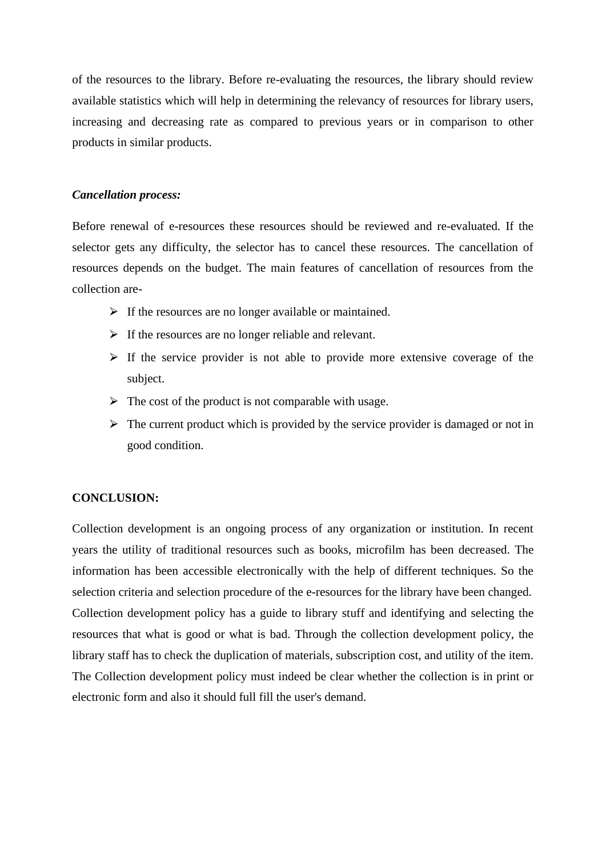of the resources to the library. Before re-evaluating the resources, the library should review available statistics which will help in determining the relevancy of resources for library users, increasing and decreasing rate as compared to previous years or in comparison to other products in similar products.

## *Cancellation process:*

Before renewal of e-resources these resources should be reviewed and re-evaluated. If the selector gets any difficulty, the selector has to cancel these resources. The cancellation of resources depends on the budget. The main features of cancellation of resources from the collection are-

- $\triangleright$  If the resources are no longer available or maintained.
- $\triangleright$  If the resources are no longer reliable and relevant.
- $\triangleright$  If the service provider is not able to provide more extensive coverage of the subject.
- $\triangleright$  The cost of the product is not comparable with usage.
- $\triangleright$  The current product which is provided by the service provider is damaged or not in good condition.

# **CONCLUSION:**

Collection development is an ongoing process of any organization or institution. In recent years the utility of traditional resources such as books, microfilm has been decreased. The information has been accessible electronically with the help of different techniques. So the selection criteria and selection procedure of the e-resources for the library have been changed. Collection development policy has a guide to library stuff and identifying and selecting the resources that what is good or what is bad. Through the collection development policy, the library staff has to check the duplication of materials, subscription cost, and utility of the item. The Collection development policy must indeed be clear whether the collection is in print or electronic form and also it should full fill the user's demand.